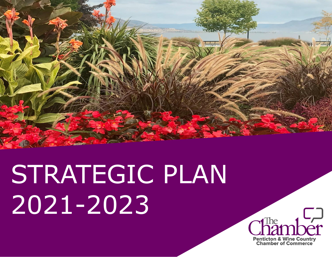

# STRATEGIC PLAN 2021-2023

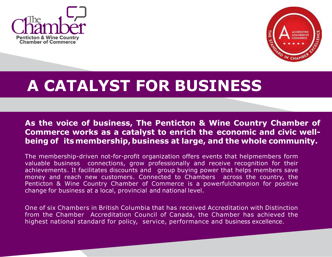



#### **A CATALYST FOR BUSINESS**

**As the voice of business, The Penticton & Wine Country Chamber of Commerce works as a catalyst to enrich the economic and civic wellbeing of itsmembership,business at large, and the whole community.**

The membership-driven not-for-profit organization offers events that helpmembers form valuable business connections, grow professionally and receive recognition for their achievements. It facilitates discounts and group buying power that helps members save money and reach new customers. Connected to Chambers across the country, the Penticton & Wine Country Chamber of Commerce is a powerfulchampion for positive change for business at a local, provincial and national level.

One of six Chambers in British Columbia that has received Accreditation with Distinction from the Chamber Accreditation Council of Canada, the Chamber has achieved the highest national standard for policy, service, performance and business excellence.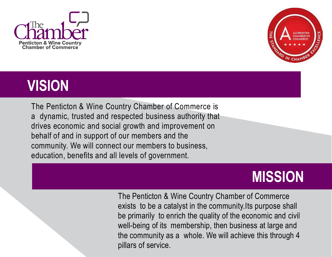



### **VISION**

The Penticton & Wine Country Chamber of Commerce is a dynamic, trusted and respected business authority that drives economic and social growth and improvement on behalf of and in support of our members and the community. We will connect our members to business, education, benefits and all levels of government.

### **MISSION**

The Penticton & Wine Country Chamber of Commerce exists to be a catalyst in the community.Its purpose shall be primarily to enrich the quality of the economic and civil well-being of its membership, then business at large and the community as a whole. We will achieve this through 4 pillars of service.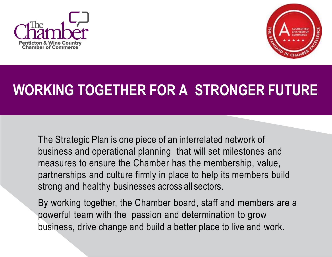



## **WORKING TOGETHER FOR A STRONGER FUTURE**

The Strategic Plan is one piece of an interrelated network of business and operational planning that will set milestones and measures to ensure the Chamber has the membership, value, partnerships and culture firmly in place to help its members build strong and healthy businesses across all sectors.

By working together, the Chamber board, staff and members are a powerful team with the passion and determination to grow business, drive change and build a better place to live and work.